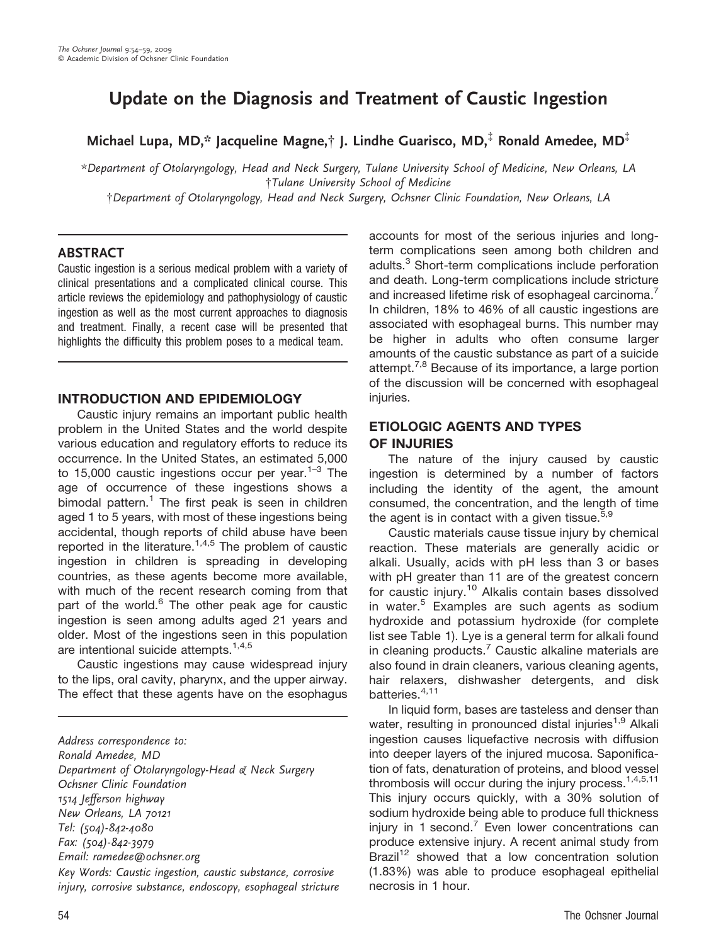# Update on the Diagnosis and Treatment of Caustic Ingestion

Michael Lupa, MD,\* Jacqueline Magne, $\dagger$  J. Lindhe Guarisco, MD, $\ddagger$  Ronald Amedee, MD $\ddagger$ 

\*Department of Otolaryngology, Head and Neck Surgery, Tulane University School of Medicine, New Orleans, LA {Tulane University School of Medicine

{Department of Otolaryngology, Head and Neck Surgery, Ochsner Clinic Foundation, New Orleans, LA

#### ABSTRACT

Caustic ingestion is a serious medical problem with a variety of clinical presentations and a complicated clinical course. This article reviews the epidemiology and pathophysiology of caustic ingestion as well as the most current approaches to diagnosis and treatment. Finally, a recent case will be presented that highlights the difficulty this problem poses to a medical team.

#### INTRODUCTION AND EPIDEMIOLOGY

Caustic injury remains an important public health problem in the United States and the world despite various education and regulatory efforts to reduce its occurrence. In the United States, an estimated 5,000 to 15,000 caustic ingestions occur per year.<sup>1–3</sup> The age of occurrence of these ingestions shows a bimodal pattern.<sup>1</sup> The first peak is seen in children aged 1 to 5 years, with most of these ingestions being accidental, though reports of child abuse have been reported in the literature.<sup>1,4,5</sup> The problem of caustic ingestion in children is spreading in developing countries, as these agents become more available, with much of the recent research coming from that part of the world.<sup>6</sup> The other peak age for caustic ingestion is seen among adults aged 21 years and older. Most of the ingestions seen in this population are intentional suicide attempts.<sup>1,4,5</sup>

Caustic ingestions may cause widespread injury to the lips, oral cavity, pharynx, and the upper airway. The effect that these agents have on the esophagus

Address correspondence to: Ronald Amedee, MD Department of Otolaryngology-Head & Neck Surgery Ochsner Clinic Foundation 1514 Jefferson highway New Orleans, LA 70121 Tel: (504)-842-4080 Fax: (504)-842-3979 Email: ramedee@ochsner.org

Key Words: Caustic ingestion, caustic substance, corrosive injury, corrosive substance, endoscopy, esophageal stricture accounts for most of the serious injuries and longterm complications seen among both children and adults.<sup>3</sup> Short-term complications include perforation and death. Long-term complications include stricture and increased lifetime risk of esophageal carcinoma.<sup>7</sup> In children, 18% to 46% of all caustic ingestions are associated with esophageal burns. This number may be higher in adults who often consume larger amounts of the caustic substance as part of a suicide attempt.<sup>7,8</sup> Because of its importance, a large portion of the discussion will be concerned with esophageal injuries.

# ETIOLOGIC AGENTS AND TYPES OF INJURIES

The nature of the injury caused by caustic ingestion is determined by a number of factors including the identity of the agent, the amount consumed, the concentration, and the length of time the agent is in contact with a given tissue.<sup>5,9</sup>

Caustic materials cause tissue injury by chemical reaction. These materials are generally acidic or alkali. Usually, acids with pH less than 3 or bases with pH greater than 11 are of the greatest concern for caustic injury.<sup>10</sup> Alkalis contain bases dissolved in water.<sup>5</sup> Examples are such agents as sodium hydroxide and potassium hydroxide (for complete list see Table 1). Lye is a general term for alkali found in cleaning products. $7$  Caustic alkaline materials are also found in drain cleaners, various cleaning agents, hair relaxers, dishwasher detergents, and disk batteries.4,11

In liquid form, bases are tasteless and denser than water, resulting in pronounced distal injuries<sup>1,9</sup> Alkali ingestion causes liquefactive necrosis with diffusion into deeper layers of the injured mucosa. Saponification of fats, denaturation of proteins, and blood vessel thrombosis will occur during the injury process. $1,4,5,11$ This injury occurs quickly, with a 30% solution of sodium hydroxide being able to produce full thickness injury in 1 second.<sup>7</sup> Even lower concentrations can produce extensive injury. A recent animal study from Brazil<sup>12</sup> showed that a low concentration solution (1.83%) was able to produce esophageal epithelial necrosis in 1 hour.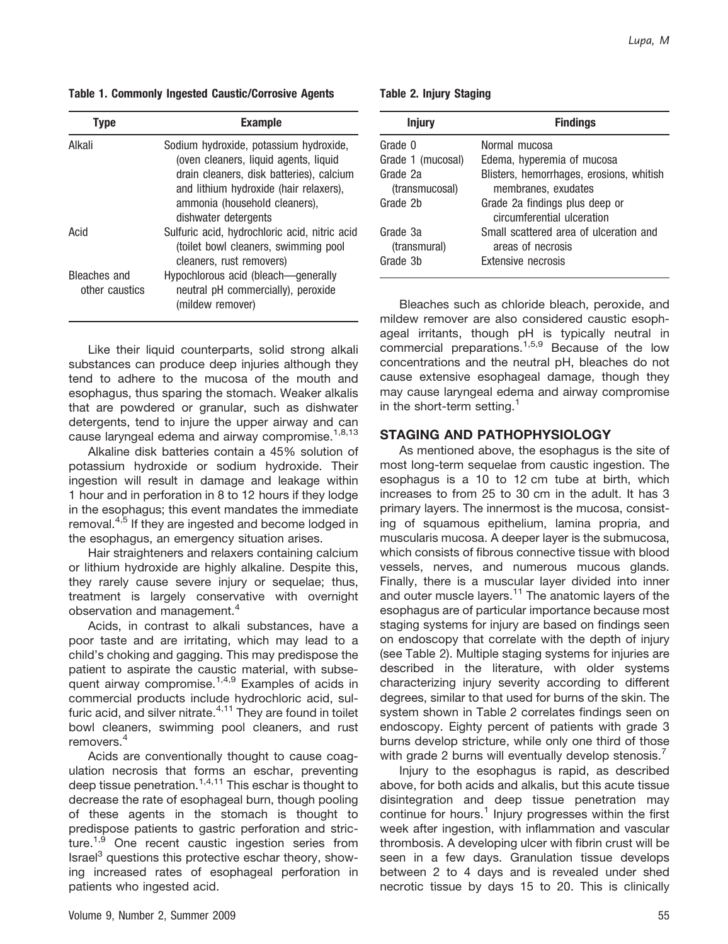Table 1. Commonly Ingested Caustic/Corrosive Agents

| Tvpe                           | <b>Example</b>                                                                                                                                                                                         |
|--------------------------------|--------------------------------------------------------------------------------------------------------------------------------------------------------------------------------------------------------|
| Alkali                         | Sodium hydroxide, potassium hydroxide,<br>(oven cleaners, liquid agents, liquid<br>drain cleaners, disk batteries), calcium<br>and lithium hydroxide (hair relaxers),<br>ammonia (household cleaners), |
| Acid                           | dishwater detergents<br>Sulfuric acid, hydrochloric acid, nitric acid<br>(toilet bowl cleaners, swimming pool                                                                                          |
| Bleaches and<br>other caustics | cleaners, rust removers)<br>Hypochlorous acid (bleach—generally<br>neutral pH commercially), peroxide<br>(mildew remover)                                                                              |

Like their liquid counterparts, solid strong alkali substances can produce deep injuries although they tend to adhere to the mucosa of the mouth and esophagus, thus sparing the stomach. Weaker alkalis that are powdered or granular, such as dishwater detergents, tend to injure the upper airway and can cause laryngeal edema and airway compromise.<sup>1,8,13</sup>

Alkaline disk batteries contain a 45% solution of potassium hydroxide or sodium hydroxide. Their ingestion will result in damage and leakage within 1 hour and in perforation in 8 to 12 hours if they lodge in the esophagus; this event mandates the immediate removal.<sup>4,5</sup> If they are ingested and become lodged in the esophagus, an emergency situation arises.

Hair straighteners and relaxers containing calcium or lithium hydroxide are highly alkaline. Despite this, they rarely cause severe injury or sequelae; thus, treatment is largely conservative with overnight observation and management.<sup>4</sup>

Acids, in contrast to alkali substances, have a poor taste and are irritating, which may lead to a child's choking and gagging. This may predispose the patient to aspirate the caustic material, with subsequent airway compromise.<sup>1,4,9</sup> Examples of acids in commercial products include hydrochloric acid, sulfuric acid, and silver nitrate. $4,11$  They are found in toilet bowl cleaners, swimming pool cleaners, and rust removers.<sup>4</sup>

Acids are conventionally thought to cause coagulation necrosis that forms an eschar, preventing deep tissue penetration.<sup>1,4,11</sup> This eschar is thought to decrease the rate of esophageal burn, though pooling of these agents in the stomach is thought to predispose patients to gastric perforation and stricture.<sup>1,9</sup> One recent caustic ingestion series from Israel<sup>3</sup> questions this protective eschar theory, showing increased rates of esophageal perforation in patients who ingested acid.

Table 2. Injury Staging

| <b>Injury</b>              | <b>Findings</b>                                                 |
|----------------------------|-----------------------------------------------------------------|
| Grade 0                    | Normal mucosa                                                   |
| Grade 1 (mucosal)          | Edema, hyperemia of mucosa                                      |
| Grade 2a<br>(transmucosal) | Blisters, hemorrhages, erosions, whitish<br>membranes, exudates |
| Grade 2b                   | Grade 2a findings plus deep or<br>circumferential ulceration    |
| Grade 3a<br>(transmural)   | Small scattered area of ulceration and<br>areas of necrosis     |
| Grade 3b                   | Extensive necrosis                                              |

Bleaches such as chloride bleach, peroxide, and mildew remover are also considered caustic esophageal irritants, though pH is typically neutral in commercial preparations.<sup>1,5,9</sup> Because of the low concentrations and the neutral pH, bleaches do not cause extensive esophageal damage, though they may cause laryngeal edema and airway compromise in the short-term setting. $<sup>1</sup>$ </sup>

### STAGING AND PATHOPHYSIOLOGY

As mentioned above, the esophagus is the site of most long-term sequelae from caustic ingestion. The esophagus is a 10 to 12 cm tube at birth, which increases to from 25 to 30 cm in the adult. It has 3 primary layers. The innermost is the mucosa, consisting of squamous epithelium, lamina propria, and muscularis mucosa. A deeper layer is the submucosa, which consists of fibrous connective tissue with blood vessels, nerves, and numerous mucous glands. Finally, there is a muscular layer divided into inner and outer muscle layers.<sup>11</sup> The anatomic layers of the esophagus are of particular importance because most staging systems for injury are based on findings seen on endoscopy that correlate with the depth of injury (see Table 2). Multiple staging systems for injuries are described in the literature, with older systems characterizing injury severity according to different degrees, similar to that used for burns of the skin. The system shown in Table 2 correlates findings seen on endoscopy. Eighty percent of patients with grade 3 burns develop stricture, while only one third of those with grade 2 burns will eventually develop stenosis.

Injury to the esophagus is rapid, as described above, for both acids and alkalis, but this acute tissue disintegration and deep tissue penetration may continue for hours.<sup>1</sup> Injury progresses within the first week after ingestion, with inflammation and vascular thrombosis. A developing ulcer with fibrin crust will be seen in a few days. Granulation tissue develops between 2 to 4 days and is revealed under shed necrotic tissue by days 15 to 20. This is clinically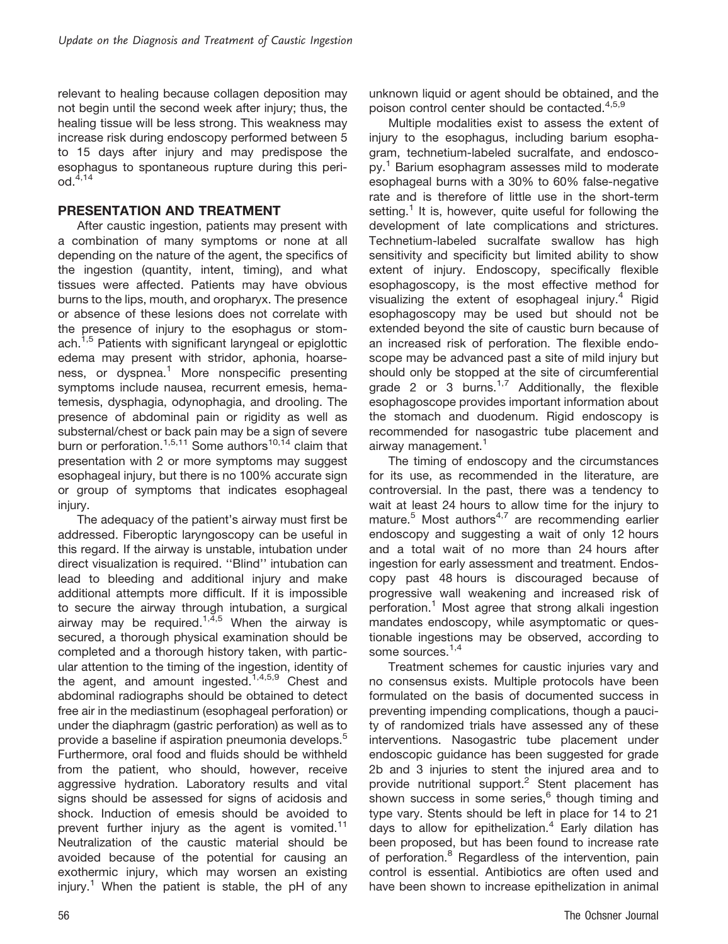relevant to healing because collagen deposition may not begin until the second week after injury; thus, the healing tissue will be less strong. This weakness may increase risk during endoscopy performed between 5 to 15 days after injury and may predispose the esophagus to spontaneous rupture during this period.4,14

#### PRESENTATION AND TREATMENT

After caustic ingestion, patients may present with a combination of many symptoms or none at all depending on the nature of the agent, the specifics of the ingestion (quantity, intent, timing), and what tissues were affected. Patients may have obvious burns to the lips, mouth, and oropharyx. The presence or absence of these lesions does not correlate with the presence of injury to the esophagus or stomach.<sup>1,5</sup> Patients with significant laryngeal or epiglottic edema may present with stridor, aphonia, hoarseness, or dyspnea.<sup>1</sup> More nonspecific presenting symptoms include nausea, recurrent emesis, hematemesis, dysphagia, odynophagia, and drooling. The presence of abdominal pain or rigidity as well as substernal/chest or back pain may be a sign of severe burn or perforation.<sup>1,5,11</sup> Some authors<sup>10,14</sup> claim that presentation with 2 or more symptoms may suggest esophageal injury, but there is no 100% accurate sign or group of symptoms that indicates esophageal injury.

The adequacy of the patient's airway must first be addressed. Fiberoptic laryngoscopy can be useful in this regard. If the airway is unstable, intubation under direct visualization is required. ''Blind'' intubation can lead to bleeding and additional injury and make additional attempts more difficult. If it is impossible to secure the airway through intubation, a surgical airway may be required.<sup>1,4,5</sup> When the airway is secured, a thorough physical examination should be completed and a thorough history taken, with particular attention to the timing of the ingestion, identity of the agent, and amount ingested.<sup>1,4,5,9</sup> Chest and abdominal radiographs should be obtained to detect free air in the mediastinum (esophageal perforation) or under the diaphragm (gastric perforation) as well as to provide a baseline if aspiration pneumonia develops.<sup>5</sup> Furthermore, oral food and fluids should be withheld from the patient, who should, however, receive aggressive hydration. Laboratory results and vital signs should be assessed for signs of acidosis and shock. Induction of emesis should be avoided to prevent further injury as the agent is vomited.<sup>11</sup> Neutralization of the caustic material should be avoided because of the potential for causing an exothermic injury, which may worsen an existing injury.<sup>1</sup> When the patient is stable, the pH of any unknown liquid or agent should be obtained, and the poison control center should be contacted.4,5,9

Multiple modalities exist to assess the extent of injury to the esophagus, including barium esophagram, technetium-labeled sucralfate, and endoscopy.<sup>1</sup> Barium esophagram assesses mild to moderate esophageal burns with a 30% to 60% false-negative rate and is therefore of little use in the short-term setting.<sup>1</sup> It is, however, quite useful for following the development of late complications and strictures. Technetium-labeled sucralfate swallow has high sensitivity and specificity but limited ability to show extent of injury. Endoscopy, specifically flexible esophagoscopy, is the most effective method for visualizing the extent of esophageal injury. $4$  Rigid esophagoscopy may be used but should not be extended beyond the site of caustic burn because of an increased risk of perforation. The flexible endoscope may be advanced past a site of mild injury but should only be stopped at the site of circumferential grade 2 or 3 burns.<sup>1,7</sup> Additionally, the flexible esophagoscope provides important information about the stomach and duodenum. Rigid endoscopy is recommended for nasogastric tube placement and airway management.<sup>1</sup>

The timing of endoscopy and the circumstances for its use, as recommended in the literature, are controversial. In the past, there was a tendency to wait at least 24 hours to allow time for the injury to mature. $5$  Most authors<sup>4,7</sup> are recommending earlier endoscopy and suggesting a wait of only 12 hours and a total wait of no more than 24 hours after ingestion for early assessment and treatment. Endoscopy past 48 hours is discouraged because of progressive wall weakening and increased risk of perforation.<sup>1</sup> Most agree that strong alkali ingestion mandates endoscopy, while asymptomatic or questionable ingestions may be observed, according to some sources.<sup>1,4</sup>

Treatment schemes for caustic injuries vary and no consensus exists. Multiple protocols have been formulated on the basis of documented success in preventing impending complications, though a paucity of randomized trials have assessed any of these interventions. Nasogastric tube placement under endoscopic guidance has been suggested for grade 2b and 3 injuries to stent the injured area and to provide nutritional support.<sup>2</sup> Stent placement has shown success in some series,<sup>6</sup> though timing and type vary. Stents should be left in place for 14 to 21 days to allow for epithelization.<sup>4</sup> Early dilation has been proposed, but has been found to increase rate of perforation.<sup>8</sup> Regardless of the intervention, pain control is essential. Antibiotics are often used and have been shown to increase epithelization in animal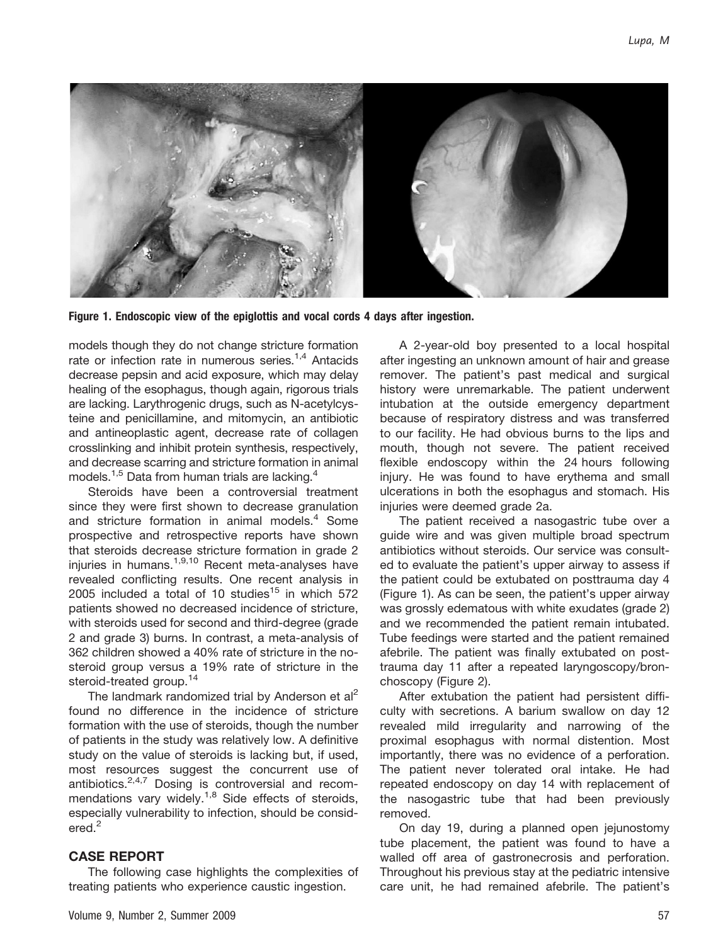

Figure 1. Endoscopic view of the epiglottis and vocal cords 4 days after ingestion.

models though they do not change stricture formation rate or infection rate in numerous series. $1,4$  Antacids decrease pepsin and acid exposure, which may delay healing of the esophagus, though again, rigorous trials are lacking. Larythrogenic drugs, such as N-acetylcysteine and penicillamine, and mitomycin, an antibiotic and antineoplastic agent, decrease rate of collagen crosslinking and inhibit protein synthesis, respectively, and decrease scarring and stricture formation in animal models.<sup>1,5</sup> Data from human trials are lacking.<sup>4</sup>

Steroids have been a controversial treatment since they were first shown to decrease granulation and stricture formation in animal models.<sup>4</sup> Some prospective and retrospective reports have shown that steroids decrease stricture formation in grade 2 injuries in humans.<sup>1,9,10</sup> Recent meta-analyses have revealed conflicting results. One recent analysis in 2005 included a total of 10 studies $15$  in which 572 patients showed no decreased incidence of stricture, with steroids used for second and third-degree (grade 2 and grade 3) burns. In contrast, a meta-analysis of 362 children showed a 40% rate of stricture in the nosteroid group versus a 19% rate of stricture in the steroid-treated group.<sup>14</sup>

The landmark randomized trial by Anderson et al<sup>2</sup> found no difference in the incidence of stricture formation with the use of steroids, though the number of patients in the study was relatively low. A definitive study on the value of steroids is lacking but, if used, most resources suggest the concurrent use of antibiotics.2,4,7 Dosing is controversial and recommendations vary widely.<sup>1,8</sup> Side effects of steroids, especially vulnerability to infection, should be considered.<sup>2</sup>

#### CASE REPORT

The following case highlights the complexities of treating patients who experience caustic ingestion.

A 2-year-old boy presented to a local hospital after ingesting an unknown amount of hair and grease remover. The patient's past medical and surgical history were unremarkable. The patient underwent intubation at the outside emergency department because of respiratory distress and was transferred to our facility. He had obvious burns to the lips and mouth, though not severe. The patient received flexible endoscopy within the 24 hours following injury. He was found to have erythema and small ulcerations in both the esophagus and stomach. His injuries were deemed grade 2a.

The patient received a nasogastric tube over a guide wire and was given multiple broad spectrum antibiotics without steroids. Our service was consulted to evaluate the patient's upper airway to assess if the patient could be extubated on posttrauma day 4 (Figure 1). As can be seen, the patient's upper airway was grossly edematous with white exudates (grade 2) and we recommended the patient remain intubated. Tube feedings were started and the patient remained afebrile. The patient was finally extubated on posttrauma day 11 after a repeated laryngoscopy/bronchoscopy (Figure 2).

After extubation the patient had persistent difficulty with secretions. A barium swallow on day 12 revealed mild irregularity and narrowing of the proximal esophagus with normal distention. Most importantly, there was no evidence of a perforation. The patient never tolerated oral intake. He had repeated endoscopy on day 14 with replacement of the nasogastric tube that had been previously removed.

On day 19, during a planned open jejunostomy tube placement, the patient was found to have a walled off area of gastronecrosis and perforation. Throughout his previous stay at the pediatric intensive care unit, he had remained afebrile. The patient's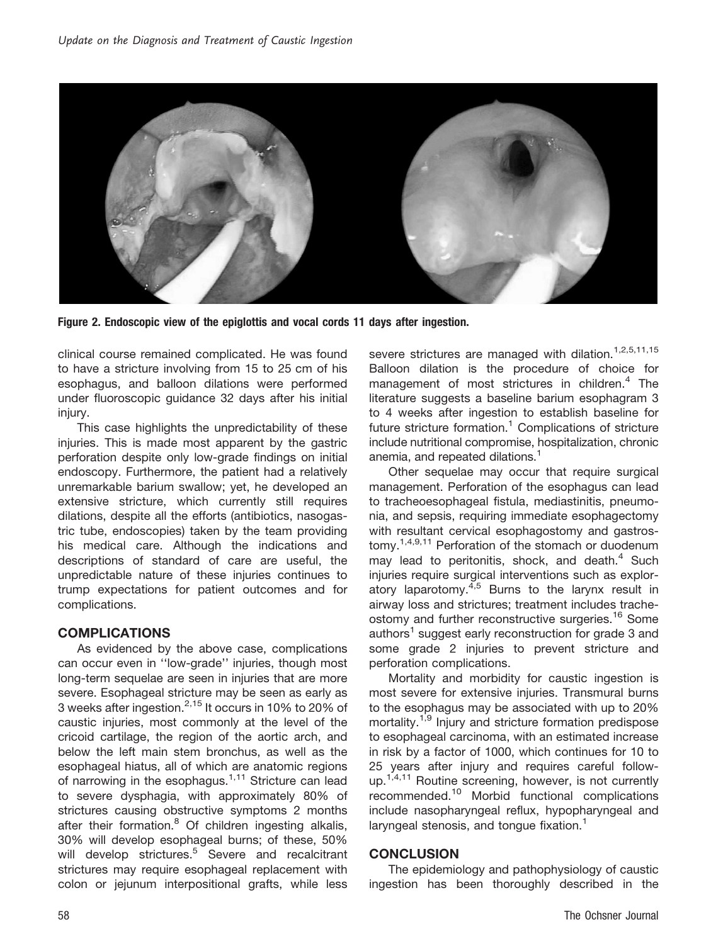

Figure 2. Endoscopic view of the epiglottis and vocal cords 11 days after ingestion.

clinical course remained complicated. He was found to have a stricture involving from 15 to 25 cm of his esophagus, and balloon dilations were performed under fluoroscopic guidance 32 days after his initial injury.

This case highlights the unpredictability of these injuries. This is made most apparent by the gastric perforation despite only low-grade findings on initial endoscopy. Furthermore, the patient had a relatively unremarkable barium swallow; yet, he developed an extensive stricture, which currently still requires dilations, despite all the efforts (antibiotics, nasogastric tube, endoscopies) taken by the team providing his medical care. Although the indications and descriptions of standard of care are useful, the unpredictable nature of these injuries continues to trump expectations for patient outcomes and for complications.

## **COMPLICATIONS**

As evidenced by the above case, complications can occur even in ''low-grade'' injuries, though most long-term sequelae are seen in injuries that are more severe. Esophageal stricture may be seen as early as 3 weeks after ingestion.<sup>2,15</sup> It occurs in 10% to 20% of caustic injuries, most commonly at the level of the cricoid cartilage, the region of the aortic arch, and below the left main stem bronchus, as well as the esophageal hiatus, all of which are anatomic regions of narrowing in the esophagus.<sup>1,11</sup> Stricture can lead to severe dysphagia, with approximately 80% of strictures causing obstructive symptoms 2 months after their formation.<sup>8</sup> Of children ingesting alkalis, 30% will develop esophageal burns; of these, 50% will develop strictures.<sup>5</sup> Severe and recalcitrant strictures may require esophageal replacement with colon or jejunum interpositional grafts, while less severe strictures are managed with dilation.<sup>1,2,5,11,15</sup> Balloon dilation is the procedure of choice for management of most strictures in children.<sup>4</sup> The literature suggests a baseline barium esophagram 3 to 4 weeks after ingestion to establish baseline for future stricture formation. $1$  Complications of stricture include nutritional compromise, hospitalization, chronic anemia, and repeated dilations.<sup>1</sup>

Other sequelae may occur that require surgical management. Perforation of the esophagus can lead to tracheoesophageal fistula, mediastinitis, pneumonia, and sepsis, requiring immediate esophagectomy with resultant cervical esophagostomy and gastrostomy.<sup>1,4,9,11</sup> Perforation of the stomach or duodenum may lead to peritonitis, shock, and death. $4$  Such injuries require surgical interventions such as exploratory laparotomy. $4,5$  Burns to the larynx result in airway loss and strictures; treatment includes tracheostomy and further reconstructive surgeries.<sup>16</sup> Some authors<sup>1</sup> suggest early reconstruction for grade 3 and some grade 2 injuries to prevent stricture and perforation complications.

Mortality and morbidity for caustic ingestion is most severe for extensive injuries. Transmural burns to the esophagus may be associated with up to 20% mortality.<sup>1,9</sup> Injury and stricture formation predispose to esophageal carcinoma, with an estimated increase in risk by a factor of 1000, which continues for 10 to 25 years after injury and requires careful followup.<sup>1,4,11</sup> Routine screening, however, is not currently recommended.<sup>10</sup> Morbid functional complications include nasopharyngeal reflux, hypopharyngeal and laryngeal stenosis, and tongue fixation.<sup>1</sup>

#### **CONCLUSION**

The epidemiology and pathophysiology of caustic ingestion has been thoroughly described in the